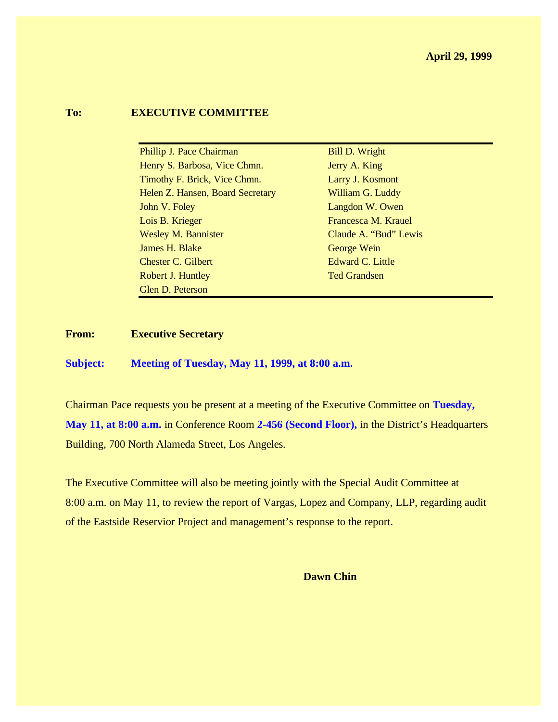#### **To: EXECUTIVE COMMITTEE**

| Phillip J. Pace Chairman         | <b>Bill D. Wright</b> |
|----------------------------------|-----------------------|
| Henry S. Barbosa, Vice Chmn.     | Jerry A. King         |
| Timothy F. Brick, Vice Chmn.     | Larry J. Kosmont      |
| Helen Z. Hansen, Board Secretary | William G. Luddy      |
| John V. Foley                    | Langdon W. Owen       |
| Lois B. Krieger                  | Francesca M. Krauel   |
| <b>Wesley M. Bannister</b>       | Claude A. "Bud" Lewis |
| James H. Blake                   | George Wein           |
| <b>Chester C. Gilbert</b>        | Edward C. Little      |
| Robert J. Huntley                | <b>Ted Grandsen</b>   |
| Glen D. Peterson                 |                       |

#### **From: Executive Secretary**

**Subject: Meeting of Tuesday, May 11, 1999, at 8:00 a.m.**

Chairman Pace requests you be present at a meeting of the Executive Committee on **Tuesday, May 11, at 8:00 a.m.** in Conference Room **2-456 (Second Floor),** in the District's Headquarters Building, 700 North Alameda Street, Los Angeles.

The Executive Committee will also be meeting jointly with the Special Audit Committee at 8:00 a.m. on May 11, to review the report of Vargas, Lopez and Company, LLP, regarding audit of the Eastside Reservior Project and management's response to the report.

**Dawn Chin**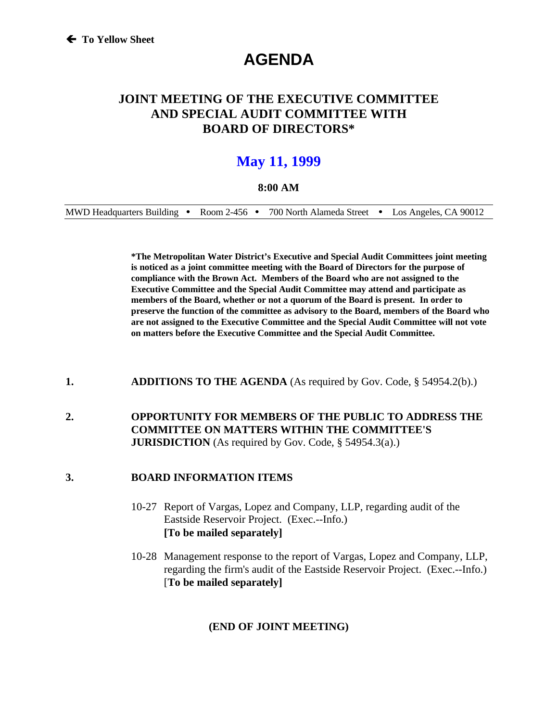# **AGENDA**

# **JOINT MEETING OF THE EXECUTIVE COMMITTEE AND SPECIAL AUDIT COMMITTEE WITH BOARD OF DIRECTORS\***

# **May 11, 1999**

#### **8:00 AM**

MWD Headquarters Building • Room 2-456 • 700 North Alameda Street • Los Angeles, CA 90012

**\*The Metropolitan Water District's Executive and Special Audit Committees joint meeting is noticed as a joint committee meeting with the Board of Directors for the purpose of compliance with the Brown Act. Members of the Board who are not assigned to the Executive Committee and the Special Audit Committee may attend and participate as members of the Board, whether or not a quorum of the Board is present. In order to preserve the function of the committee as advisory to the Board, members of the Board who are not assigned to the Executive Committee and the Special Audit Committee will not vote on matters before the Executive Committee and the Special Audit Committee.**

#### **1. ADDITIONS TO THE AGENDA** (As required by Gov. Code, § 54954.2(b).)

### **2. OPPORTUNITY FOR MEMBERS OF THE PUBLIC TO ADDRESS THE COMMITTEE ON MATTERS WITHIN THE COMMITTEE'S JURISDICTION** (As required by Gov. Code, § 54954.3(a).)

#### **3. BOARD INFORMATION ITEMS**

- 10-27 Report of Vargas, Lopez and Company, LLP, regarding audit of the Eastside Reservoir Project. (Exec.--Info.) **[To be mailed separately]**
- 10-28 Management response to the report of Vargas, Lopez and Company, LLP, regarding the firm's audit of the Eastside Reservoir Project. (Exec.--Info.) [**To be mailed separately]**

### **(END OF JOINT MEETING)**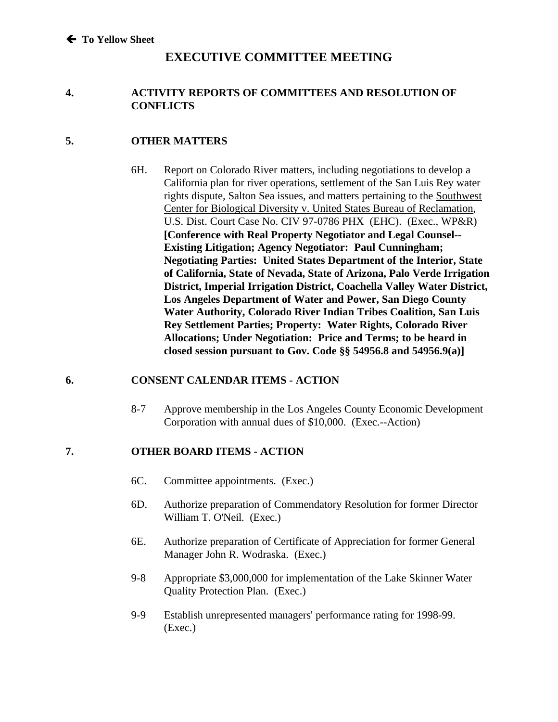# **EXECUTIVE COMMITTEE MEETING**

### **4. ACTIVITY REPORTS OF COMMITTEES AND RESOLUTION OF CONFLICTS**

### **5. OTHER MATTERS**

6H. Report on Colorado River matters, including negotiations to develop a California plan for river operations, settlement of the San Luis Rey water rights dispute, Salton Sea issues, and matters pertaining to the Southwest Center for Biological Diversity v. United States Bureau of Reclamation, U.S. Dist. Court Case No. CIV 97-0786 PHX (EHC). (Exec., WP&R) **[Conference with Real Property Negotiator and Legal Counsel-- Existing Litigation; Agency Negotiator: Paul Cunningham; Negotiating Parties: United States Department of the Interior, State of California, State of Nevada, State of Arizona, Palo Verde Irrigation District, Imperial Irrigation District, Coachella Valley Water District, Los Angeles Department of Water and Power, San Diego County Water Authority, Colorado River Indian Tribes Coalition, San Luis Rey Settlement Parties; Property: Water Rights, Colorado River Allocations; Under Negotiation: Price and Terms; to be heard in closed session pursuant to Gov. Code §§ 54956.8 and 54956.9(a)]**

### **6. CONSENT CALENDAR ITEMS - ACTION**

8-7 Approve membership in the Los Angeles County Economic Development Corporation with annual dues of \$10,000. (Exec.--Action)

## **7. OTHER BOARD ITEMS - ACTION**

- 6C. Committee appointments. (Exec.)
- 6D. Authorize preparation of Commendatory Resolution for former Director William T. O'Neil. (Exec.)
- 6E. Authorize preparation of Certificate of Appreciation for former General Manager John R. Wodraska. (Exec.)
- 9-8 Appropriate \$3,000,000 for implementation of the Lake Skinner Water Quality Protection Plan. (Exec.)
- 9-9 Establish unrepresented managers' performance rating for 1998-99. (Exec.)